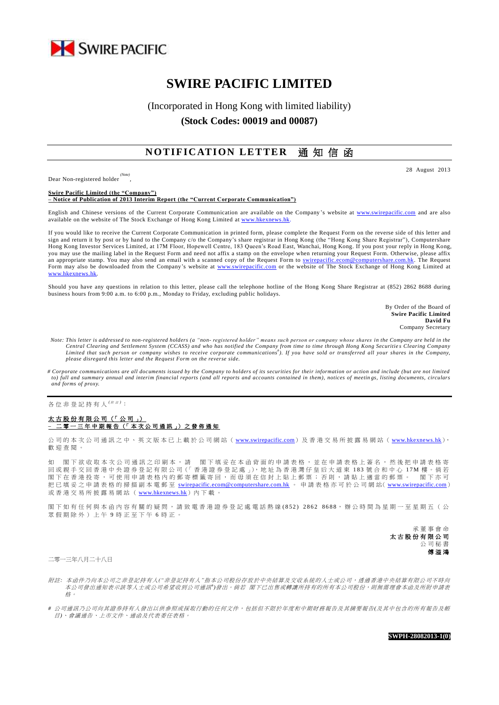

# **SWIRE PACIFIC LIMITED**

## (Incorporated in Hong Kong with limited liability) **(Stock Codes: 00019 and 00087)**

## **NOTIFICATION LETTER** 涌 知 信 函

Dear Non-registered holder *(Note)*

,

28 August 2013

**Swire Pacific Limited (the "Company") – Notice of Publication of 2013 Interim Report (the "Current Corporate Communication")**

English and Chinese versions of the Current Corporate Communication are available on the Company 's website at [www.swirepacific.com](http://www.swirepacific.com/) and are also available on the website of The Stock Exchange of Hong Kong Limited at www.hkexnews.hk

If you would like to receive the Current Corporate Communication in printed form, please complete the Request Form on the reverse side of this letter and sign and return it by post or by hand to the Company c/o the Company's share registrar in Hong Kong (the "Hong Kong Share Registrar"), Computershare Hong Kong Investor Services Limited, at 17M Floor, Hopewell Centre, 183 Queen's Road East, Wanchai, Hong Kong. If you post your reply in Hong Kong, you may use the mailing label in the Request Form and need not affix a stamp on the envelope when returning your Request Form. Otherwise, please affix an appropriate stamp. You may also send an email with a scanned copy of the Request Form to [swirepacific.ecom@computershare.com.hk.](mailto:swirepacific.ecom@computershare.com.hk) The Request Form may also be downloaded from the Company's website at [www.swirepacific.com](http://www.swirepacific.com/) or the website of The Stock Exchange of Hong Kong Limited at [www.hkexnews.hk.](http://www.hkexnews.hk/)

Should you have any questions in relation to this letter, please call the telephone hotline of the Hong Kong Share Registrar at (852) 2862 8688 during business hours from 9:00 a.m. to 6:00 p.m., Monday to Friday, excluding public holidays.

> By Order of the Board of **Swire Pacific Limited David Fu** Company Secretary

- *Note: This letter is addressed to non-registered holders (a "non- registered holder" means such person or company whose shares in the Company are held in the*  Central Clearing and Settlement System (CCASS) and who has notified the Company from time to time through Hong Kong Securities Clearing Company<br>Limited that such person or company wishes to receive corporate communications *please disregard this letter and the Request Form on the reverse side.*
- *# Corporate communications are all documents issued by the Company to holders of its securities for their information or action and include (but are not limited*  to) full and summary annual and interim financial reports (and all reports and accounts contained in them), notices of meetings, listing documents, circulars *and forms of proxy.*

各位非登記持有人<sup>( ##)</sup>:

#### 太古股份有限公司 (「公司」) **–** 二零一三年中期報告 (「 本 次 公 司 通 訊 」) 之 發 佈 通 知

公司的本次公司通訊之中、英文版本已上載於公司網站 ([www.swirepacific.com](http://www.swirepacific.com/)) 及香港交易所披露易網站 ([www.hkexnews.hk](http://www.hkexnews.hk/)), 歡 迎 查閱。

如 閣 下 欲 收 取 本 次 公 司 通 訊 之 印 刷 本 , 請 閣 下 填 妥 在 本 函 背 面 的 申 請 表 格 , 並 在 申 請 表 格 上 簽 名 , 然 後 把 申 請 表 格 寄 回 或 親 手 交 回 香 港 中 央 證 券 登 記 有 限 公 司 (「 香 港 證 券 登 記 處 」), 地 址 為 香 港 灣 仔 皇 后 大 道 東 183 號 合 和 中 心 17M 樓 。倘 若 閣下在香港投寄,可使用申請表格內的郵寄標籤寄回,而毋須在信封上貼上郵票;否則,請貼上適當的郵票。 閣下亦可 把已填妥之申請表格的掃描副本電郵至 [swirepacific.ecom@computershare.com.hk](mailto:swirepacific.ecom@computershare.com.hk) 。 申請表格亦可於公司網站( [www.swirepacific.com](http://www.swirepacific.com/)) 或香港交易所披露易網站 ( [www.hkexnews.hk](http://www.hkexnews.hk/)) 內下載。

閣下如有任何與本函內容有關的疑問,請致電香港證券登記處電話熱線(852) 2862 8688,辦公時間為星期一至星期五(公 眾假期除外)上午 9 時正至下午 6 時正。

> 承董事會命 太古股份有限公司 公司秘書 傅溢鴻

二零一三年八月二十八日

- 附註*:* 本函件乃向本公司之非登記持有人*("*非登記持有人*"*指本公司股份存放於中央結算及交收系統的人士或公司,透過香港中央結算有限公司不時向 本公司發出通知表示該等人士或公司希望收到公司通訊<sup>+</sup>)發出。 倘若 閣下已出售或轉讓所持有的所有本公司股份,則無需理會本函及所附申請表 格。
- *#* 公司通訊乃公司向其證券持有人發出以供參照或採取行動的任何文件,包括但不限於年度和中期財務報告及其摘要報告*(*及其中包含的所有報告及帳 目*)*、會議通告、上市文件、通函及代表委任表格。

**SWPH-28082013-1(0)**